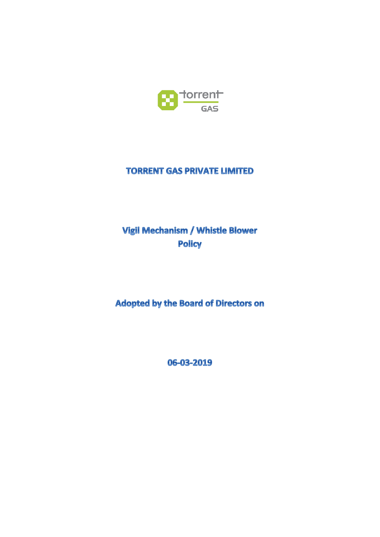

## **TORRENT GAS PRIVATE LIMITED**

# Vigil Mechanism / Whistle Blower **Policy**

**Adopted by the Board of Directors on** 

06-03-2019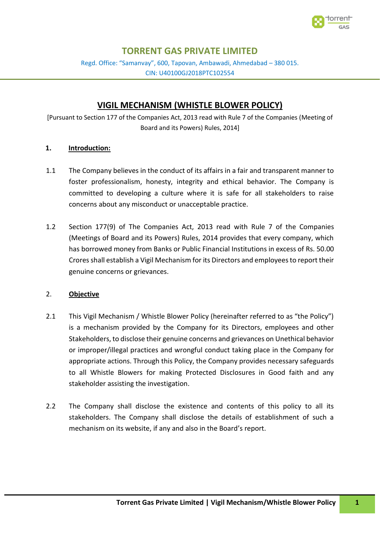

## **TORRENT GAS PRIVATE LIMITED**

Regd. Office: "Samanvay", 600, Tapovan, Ambawadi, Ahmedabad – 380 015. CIN: U40100GJ2018PTC102554

### **VIGIL MECHANISM (WHISTLE BLOWER POLICY)**

[Pursuant to Section 177 of the Companies Act, 2013 read with Rule 7 of the Companies (Meeting of Board and its Powers) Rules, 2014]

#### **1. Introduction:**

- 1.1 The Company believes in the conduct of its affairs in a fair and transparent manner to foster professionalism, honesty, integrity and ethical behavior. The Company is committed to developing a culture where it is safe for all stakeholders to raise concerns about any misconduct or unacceptable practice.
- 1.2 Section 177(9) of The Companies Act, 2013 read with Rule 7 of the Companies (Meetings of Board and its Powers) Rules, 2014 provides that every company, which has borrowed money from Banks or Public Financial Institutions in excess of Rs. 50.00 Crores shall establish a Vigil Mechanism for its Directors and employees to report their genuine concerns or grievances.

#### 2. **Objective**

- 2.1 This Vigil Mechanism / Whistle Blower Policy (hereinafter referred to as "the Policy") is a mechanism provided by the Company for its Directors, employees and other Stakeholders, to disclose their genuine concerns and grievances on Unethical behavior or improper/illegal practices and wrongful conduct taking place in the Company for appropriate actions. Through this Policy, the Company provides necessary safeguards to all Whistle Blowers for making Protected Disclosures in Good faith and any stakeholder assisting the investigation.
- 2.2 The Company shall disclose the existence and contents of this policy to all its stakeholders. The Company shall disclose the details of establishment of such a mechanism on its website, if any and also in the Board's report.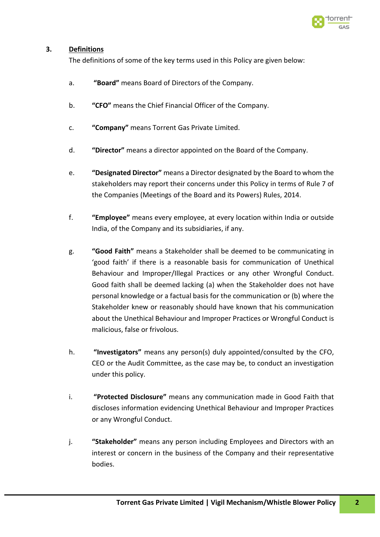

#### **3. Definitions**

The definitions of some of the key terms used in this Policy are given below:

- a. **"Board"** means Board of Directors of the Company.
- b. **"CFO"** means the Chief Financial Officer of the Company.
- c. **"Company"** means Torrent Gas Private Limited.
- d. **"Director"** means a director appointed on the Board of the Company.
- e. **"Designated Director"** means a Director designated by the Board to whom the stakeholders may report their concerns under this Policy in terms of Rule 7 of the Companies (Meetings of the Board and its Powers) Rules, 2014.
- f. **"Employee"** means every employee, at every location within India or outside India, of the Company and its subsidiaries, if any.
- g. **"Good Faith"** means a Stakeholder shall be deemed to be communicating in 'good faith' if there is a reasonable basis for communication of Unethical Behaviour and Improper/Illegal Practices or any other Wrongful Conduct. Good faith shall be deemed lacking (a) when the Stakeholder does not have personal knowledge or a factual basis for the communication or (b) where the Stakeholder knew or reasonably should have known that his communication about the Unethical Behaviour and Improper Practices or Wrongful Conduct is malicious, false or frivolous.
- h. **"Investigators"** means any person(s) duly appointed/consulted by the CFO, CEO or the Audit Committee, as the case may be, to conduct an investigation under this policy.
- i. **"Protected Disclosure"** means any communication made in Good Faith that discloses information evidencing Unethical Behaviour and Improper Practices or any Wrongful Conduct.
- j. **"Stakeholder"** means any person including Employees and Directors with an interest or concern in the business of the Company and their representative bodies.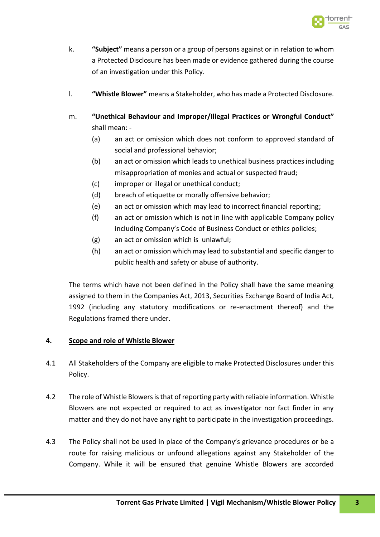

- k. **"Subject"** means a person or a group of persons against or in relation to whom a Protected Disclosure has been made or evidence gathered during the course of an investigation under this Policy.
- l. **"Whistle Blower"** means a Stakeholder, who has made a Protected Disclosure.
- m. **"Unethical Behaviour and Improper/Illegal Practices or Wrongful Conduct"** shall mean: -
	- (a) an act or omission which does not conform to approved standard of social and professional behavior;
	- (b) an act or omission which leads to unethical business practices including misappropriation of monies and actual or suspected fraud;
	- (c) improper or illegal or unethical conduct;
	- (d) breach of etiquette or morally offensive behavior;
	- (e) an act or omission which may lead to incorrect financial reporting;
	- (f) an act or omission which is not in line with applicable Company policy including Company's Code of Business Conduct or ethics policies;
	- (g) an act or omission which is unlawful;
	- (h) an act or omission which may lead to substantial and specific danger to public health and safety or abuse of authority.

The terms which have not been defined in the Policy shall have the same meaning assigned to them in the Companies Act, 2013, Securities Exchange Board of India Act, 1992 (including any statutory modifications or re-enactment thereof) and the Regulations framed there under.

#### **4. Scope and role of Whistle Blower**

- 4.1 All Stakeholders of the Company are eligible to make Protected Disclosures under this Policy.
- 4.2 The role of Whistle Blowers is that of reporting party with reliable information. Whistle Blowers are not expected or required to act as investigator nor fact finder in any matter and they do not have any right to participate in the investigation proceedings.
- 4.3 The Policy shall not be used in place of the Company's grievance procedures or be a route for raising malicious or unfound allegations against any Stakeholder of the Company. While it will be ensured that genuine Whistle Blowers are accorded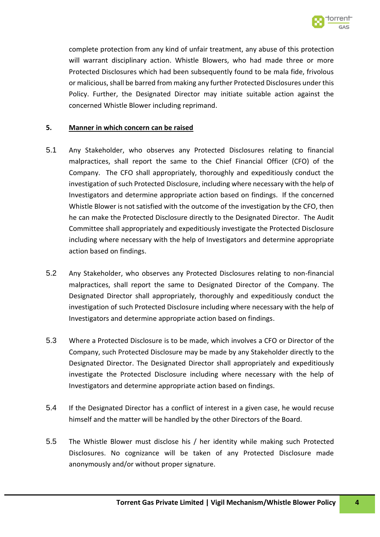

complete protection from any kind of unfair treatment, any abuse of this protection will warrant disciplinary action. Whistle Blowers, who had made three or more Protected Disclosures which had been subsequently found to be mala fide, frivolous or malicious, shall be barred from making any further Protected Disclosures under this Policy. Further, the Designated Director may initiate suitable action against the concerned Whistle Blower including reprimand.

#### **5. Manner in which concern can be raised**

- 5.1 Any Stakeholder, who observes any Protected Disclosures relating to financial malpractices, shall report the same to the Chief Financial Officer (CFO) of the Company. The CFO shall appropriately, thoroughly and expeditiously conduct the investigation of such Protected Disclosure, including where necessary with the help of Investigators and determine appropriate action based on findings. If the concerned Whistle Blower is not satisfied with the outcome of the investigation by the CFO, then he can make the Protected Disclosure directly to the Designated Director. The Audit Committee shall appropriately and expeditiously investigate the Protected Disclosure including where necessary with the help of Investigators and determine appropriate action based on findings.
- 5.2 Any Stakeholder, who observes any Protected Disclosures relating to non-financial malpractices, shall report the same to Designated Director of the Company. The Designated Director shall appropriately, thoroughly and expeditiously conduct the investigation of such Protected Disclosure including where necessary with the help of Investigators and determine appropriate action based on findings.
- 5.3 Where a Protected Disclosure is to be made, which involves a CFO or Director of the Company, such Protected Disclosure may be made by any Stakeholder directly to the Designated Director. The Designated Director shall appropriately and expeditiously investigate the Protected Disclosure including where necessary with the help of Investigators and determine appropriate action based on findings.
- 5.4 If the Designated Director has a conflict of interest in a given case, he would recuse himself and the matter will be handled by the other Directors of the Board.
- 5.5 The Whistle Blower must disclose his / her identity while making such Protected Disclosures. No cognizance will be taken of any Protected Disclosure made anonymously and/or without proper signature.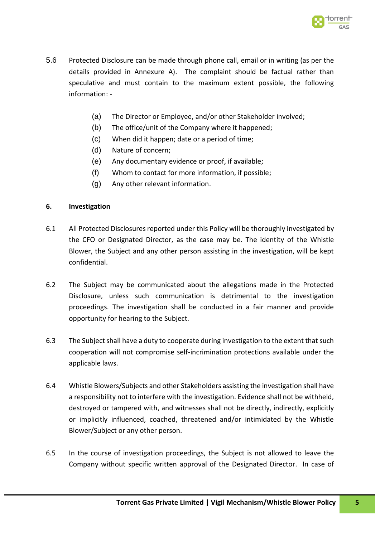

- 5.6 Protected Disclosure can be made through phone call, email or in writing (as per the details provided in Annexure A). The complaint should be factual rather than speculative and must contain to the maximum extent possible, the following information: -
	- (a) The Director or Employee, and/or other Stakeholder involved;
	- (b) The office/unit of the Company where it happened;
	- (c) When did it happen; date or a period of time;
	- (d) Nature of concern;
	- (e) Any documentary evidence or proof, if available;
	- (f) Whom to contact for more information, if possible;
	- (g) Any other relevant information.

#### **6. Investigation**

- 6.1 All Protected Disclosures reported under this Policy will be thoroughly investigated by the CFO or Designated Director, as the case may be. The identity of the Whistle Blower, the Subject and any other person assisting in the investigation, will be kept confidential.
- 6.2 The Subject may be communicated about the allegations made in the Protected Disclosure, unless such communication is detrimental to the investigation proceedings. The investigation shall be conducted in a fair manner and provide opportunity for hearing to the Subject.
- 6.3 The Subject shall have a duty to cooperate during investigation to the extent that such cooperation will not compromise self-incrimination protections available under the applicable laws.
- 6.4 Whistle Blowers/Subjects and other Stakeholders assisting the investigation shall have a responsibility not to interfere with the investigation. Evidence shall not be withheld, destroyed or tampered with, and witnesses shall not be directly, indirectly, explicitly or implicitly influenced, coached, threatened and/or intimidated by the Whistle Blower/Subject or any other person.
- 6.5 In the course of investigation proceedings, the Subject is not allowed to leave the Company without specific written approval of the Designated Director. In case of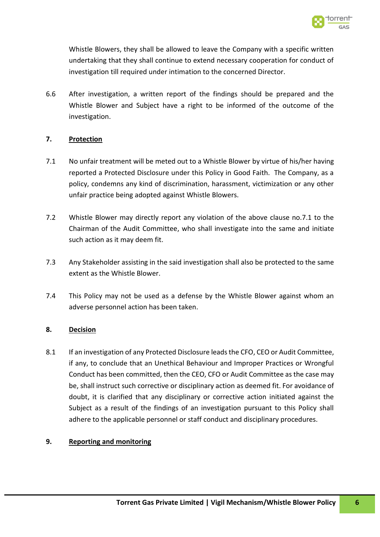

Whistle Blowers, they shall be allowed to leave the Company with a specific written undertaking that they shall continue to extend necessary cooperation for conduct of investigation till required under intimation to the concerned Director.

6.6 After investigation, a written report of the findings should be prepared and the Whistle Blower and Subject have a right to be informed of the outcome of the investigation.

#### **7. Protection**

- 7.1 No unfair treatment will be meted out to a Whistle Blower by virtue of his/her having reported a Protected Disclosure under this Policy in Good Faith. The Company, as a policy, condemns any kind of discrimination, harassment, victimization or any other unfair practice being adopted against Whistle Blowers.
- 7.2 Whistle Blower may directly report any violation of the above clause no.7.1 to the Chairman of the Audit Committee, who shall investigate into the same and initiate such action as it may deem fit.
- 7.3 Any Stakeholder assisting in the said investigation shall also be protected to the same extent as the Whistle Blower.
- 7.4 This Policy may not be used as a defense by the Whistle Blower against whom an adverse personnel action has been taken.

#### **8. Decision**

8.1 If an investigation of any Protected Disclosure leads the CFO, CEO or Audit Committee, if any, to conclude that an Unethical Behaviour and Improper Practices or Wrongful Conduct has been committed, then the CEO, CFO or Audit Committee as the case may be, shall instruct such corrective or disciplinary action as deemed fit. For avoidance of doubt, it is clarified that any disciplinary or corrective action initiated against the Subject as a result of the findings of an investigation pursuant to this Policy shall adhere to the applicable personnel or staff conduct and disciplinary procedures.

#### **9. Reporting and monitoring**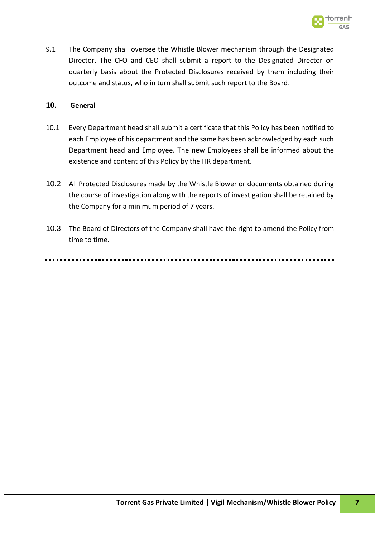

9.1 The Company shall oversee the Whistle Blower mechanism through the Designated Director. The CFO and CEO shall submit a report to the Designated Director on quarterly basis about the Protected Disclosures received by them including their outcome and status, who in turn shall submit such report to the Board.

#### **10. General**

- 10.1 Every Department head shall submit a certificate that this Policy has been notified to each Employee of his department and the same has been acknowledged by each such Department head and Employee. The new Employees shall be informed about the existence and content of this Policy by the HR department.
- 10.2 All Protected Disclosures made by the Whistle Blower or documents obtained during the course of investigation along with the reports of investigation shall be retained by the Company for a minimum period of 7 years.
- 10.3 The Board of Directors of the Company shall have the right to amend the Policy from time to time.